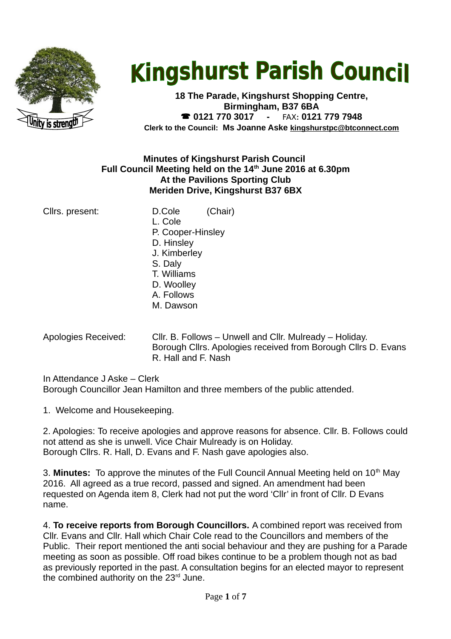

# **Kingshurst Parish Council**

**18 The Parade, Kingshurst Shopping Centre, Birmingham, B37 6BA 0121 770 3017 -** FAX**: 0121 779 7948 Clerk to the Council: Ms Joanne Aske [kingshurstpc@btconnect.com](mailto:kingshurstpc@btconnect.com)**

## **Minutes of Kingshurst Parish Council Full Council Meeting held on the 14th June 2016 at 6.30pm At the Pavilions Sporting Club Meriden Drive, Kingshurst B37 6BX**

- Cllrs. present: D.Cole (Chair) L. Cole P. Cooper-Hinsley D. Hinsley J. Kimberley S. Daly T. Williams D. Woolley A. Follows M. Dawson
- Apologies Received: Cllr. B. Follows Unwell and Cllr. Mulready Holiday. Borough Cllrs. Apologies received from Borough Cllrs D. Evans R. Hall and F. Nash

In Attendance J Aske – Clerk Borough Councillor Jean Hamilton and three members of the public attended.

1. Welcome and Housekeeping.

2. Apologies: To receive apologies and approve reasons for absence. Cllr. B. Follows could not attend as she is unwell. Vice Chair Mulready is on Holiday. Borough Cllrs. R. Hall, D. Evans and F. Nash gave apologies also.

3. **Minutes:** To approve the minutes of the Full Council Annual Meeting held on 10<sup>th</sup> May 2016. All agreed as a true record, passed and signed. An amendment had been requested on Agenda item 8, Clerk had not put the word 'Cllr' in front of Cllr. D Evans name.

4. **To receive reports from Borough Councillors.** A combined report was received from Cllr. Evans and Cllr. Hall which Chair Cole read to the Councillors and members of the Public. Their report mentioned the anti social behaviour and they are pushing for a Parade meeting as soon as possible. Off road bikes continue to be a problem though not as bad as previously reported in the past. A consultation begins for an elected mayor to represent the combined authority on the  $23<sup>rd</sup>$  June.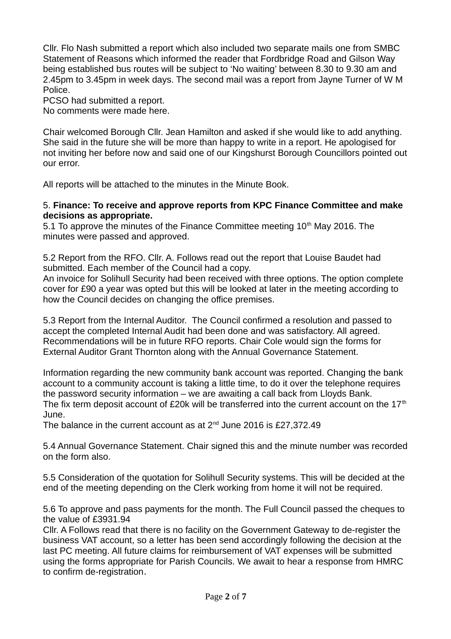Cllr. Flo Nash submitted a report which also included two separate mails one from SMBC Statement of Reasons which informed the reader that Fordbridge Road and Gilson Way being established bus routes will be subject to 'No waiting' between 8.30 to 9.30 am and 2.45pm to 3.45pm in week days. The second mail was a report from Jayne Turner of W M Police.

PCSO had submitted a report.

No comments were made here.

Chair welcomed Borough Cllr. Jean Hamilton and asked if she would like to add anything. She said in the future she will be more than happy to write in a report. He apologised for not inviting her before now and said one of our Kingshurst Borough Councillors pointed out our error.

All reports will be attached to the minutes in the Minute Book.

### 5. **Finance: To receive and approve reports from KPC Finance Committee and make decisions as appropriate.**

5.1 To approve the minutes of the Finance Committee meeting  $10<sup>th</sup>$  May 2016. The minutes were passed and approved.

5.2 Report from the RFO. Cllr. A. Follows read out the report that Louise Baudet had submitted. Each member of the Council had a copy.

An invoice for Solihull Security had been received with three options. The option complete cover for £90 a year was opted but this will be looked at later in the meeting according to how the Council decides on changing the office premises.

5.3 Report from the Internal Auditor. The Council confirmed a resolution and passed to accept the completed Internal Audit had been done and was satisfactory. All agreed. Recommendations will be in future RFO reports. Chair Cole would sign the forms for External Auditor Grant Thornton along with the Annual Governance Statement.

Information regarding the new community bank account was reported. Changing the bank account to a community account is taking a little time, to do it over the telephone requires the password security information – we are awaiting a call back from Lloyds Bank. The fix term deposit account of £20k will be transferred into the current account on the  $17<sup>th</sup>$ June.

The balance in the current account as at  $2^{nd}$  June 2016 is £27,372.49

5.4 Annual Governance Statement. Chair signed this and the minute number was recorded on the form also.

5.5 Consideration of the quotation for Solihull Security systems. This will be decided at the end of the meeting depending on the Clerk working from home it will not be required.

5.6 To approve and pass payments for the month. The Full Council passed the cheques to the value of £3931.94

Cllr. A Follows read that there is no facility on the Government Gateway to de-register the business VAT account, so a letter has been send accordingly following the decision at the last PC meeting. All future claims for reimbursement of VAT expenses will be submitted using the forms appropriate for Parish Councils. We await to hear a response from HMRC to confirm de-registration.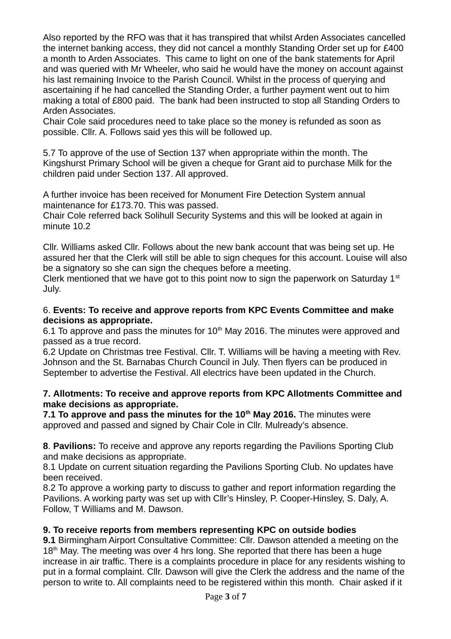Also reported by the RFO was that it has transpired that whilst Arden Associates cancelled the internet banking access, they did not cancel a monthly Standing Order set up for £400 a month to Arden Associates. This came to light on one of the bank statements for April and was queried with Mr Wheeler, who said he would have the money on account against his last remaining Invoice to the Parish Council. Whilst in the process of querying and ascertaining if he had cancelled the Standing Order, a further payment went out to him making a total of £800 paid. The bank had been instructed to stop all Standing Orders to Arden Associates.

Chair Cole said procedures need to take place so the money is refunded as soon as possible. Cllr. A. Follows said yes this will be followed up.

5.7 To approve of the use of Section 137 when appropriate within the month. The Kingshurst Primary School will be given a cheque for Grant aid to purchase Milk for the children paid under Section 137. All approved.

A further invoice has been received for Monument Fire Detection System annual maintenance for £173.70. This was passed.

Chair Cole referred back Solihull Security Systems and this will be looked at again in minute 10.2

Cllr. Williams asked Cllr. Follows about the new bank account that was being set up. He assured her that the Clerk will still be able to sign cheques for this account. Louise will also be a signatory so she can sign the cheques before a meeting.

Clerk mentioned that we have got to this point now to sign the paperwork on Saturday  $1<sup>st</sup>$ July.

## 6. **Events: To receive and approve reports from KPC Events Committee and make decisions as appropriate.**

6.1 To approve and pass the minutes for  $10<sup>th</sup>$  May 2016. The minutes were approved and passed as a true record.

6.2 Update on Christmas tree Festival. Cllr. T. Williams will be having a meeting with Rev. Johnson and the St. Barnabas Church Council in July. Then flyers can be produced in September to advertise the Festival. All electrics have been updated in the Church.

## **7. Allotments: To receive and approve reports from KPC Allotments Committee and make decisions as appropriate.**

**7.1 To approve and pass the minutes for the 10th May 2016.** The minutes were approved and passed and signed by Chair Cole in Cllr. Mulready's absence.

**8**. **Pavilions:** To receive and approve any reports regarding the Pavilions Sporting Club and make decisions as appropriate.

8.1 Update on current situation regarding the Pavilions Sporting Club. No updates have been received.

8.2 To approve a working party to discuss to gather and report information regarding the Pavilions. A working party was set up with Cllr's Hinsley, P. Cooper-Hinsley, S. Daly, A. Follow, T Williams and M. Dawson.

## **9. To receive reports from members representing KPC on outside bodies**

**9.1** Birmingham Airport Consultative Committee: Cllr. Dawson attended a meeting on the  $18<sup>th</sup>$  May. The meeting was over 4 hrs long. She reported that there has been a huge increase in air traffic. There is a complaints procedure in place for any residents wishing to put in a formal complaint. Cllr. Dawson will give the Clerk the address and the name of the person to write to. All complaints need to be registered within this month. Chair asked if it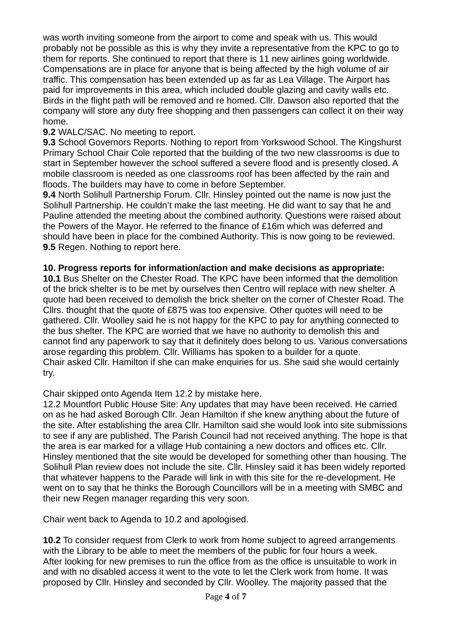was worth inviting someone from the airport to come and speak with us. This would probably not be possible as this is why they invite a representative from the KPC to go to them for reports. She continued to report that there is 11 new airlines going worldwide. Compensations are in place for anyone that is being affected by the high volume of air traffic. This compensation has been extended up as far as Lea Village. The Airport has paid for improvements in this area, which included double glazing and cavity walls etc. Birds in the flight path will be removed and re homed. Cllr. Dawson also reported that the company will store any duty free shopping and then passengers can collect it on their way home.

# **9.2** WALC/SAC. No meeting to report.

**9.3** School Governors Reports. Nothing to report from Yorkswood School. The Kingshurst Primary School Chair Cole reported that the building of the two new classrooms is due to start in September however the school suffered a severe flood and is presently closed. A mobile classroom is needed as one classrooms roof has been affected by the rain and floods. The builders may have to come in before September.

**9.4** North Solihull Partnership Forum. Cllr. Hinsley pointed out the name is now just the Solihull Partnership. He couldn't make the last meeting. He did want to say that he and Pauline attended the meeting about the combined authority. Questions were raised about the Powers of the Mayor. He referred to the finance of £16m which was deferred and should have been in place for the combined Authority. This is now going to be reviewed. **9.5** Regen. Nothing to report here.

## **10. Progress reports for information/action and make decisions as appropriate:**

**10.1** Bus Shelter on the Chester Road. The KPC have been informed that the demolition of the brick shelter is to be met by ourselves then Centro will replace with new shelter. A quote had been received to demolish the brick shelter on the corner of Chester Road. The Cllrs. thought that the quote of £875 was too expensive. Other quotes will need to be gathered. Cllr. Woolley said he is not happy for the KPC to pay for anything connected to the bus shelter. The KPC are worried that we have no authority to demolish this and cannot find any paperwork to say that it definitely does belong to us. Various conversations arose regarding this problem. Cllr. Williams has spoken to a builder for a quote. Chair asked Cllr. Hamilton if she can make enquiries for us. She said she would certainly try.

Chair skipped onto Agenda Item 12.2 by mistake here.

12.2 Mountfort Public House Site: Any updates that may have been received. He carried on as he had asked Borough Cllr. Jean Hamilton if she knew anything about the future of the site. After establishing the area Cllr. Hamilton said she would look into site submissions to see if any are published. The Parish Council had not received anything. The hope is that the area is ear marked for a village Hub containing a new doctors and offices etc. Cllr. Hinsley mentioned that the site would be developed for something other than housing. The Solihull Plan review does not include the site. Cllr. Hinsley said it has been widely reported that whatever happens to the Parade will link in with this site for the re-development. He went on to say that he thinks the Borough Councillors will be in a meeting with SMBC and their new Regen manager regarding this very soon.

Chair went back to Agenda to 10.2 and apologised.

**10.2** To consider request from Clerk to work from home subject to agreed arrangements with the Library to be able to meet the members of the public for four hours a week. After looking for new premises to run the office from as the office is unsuitable to work in and with no disabled access it went to the vote to let the Clerk work from home. It was proposed by Cllr. Hinsley and seconded by Cllr. Woolley. The majority passed that the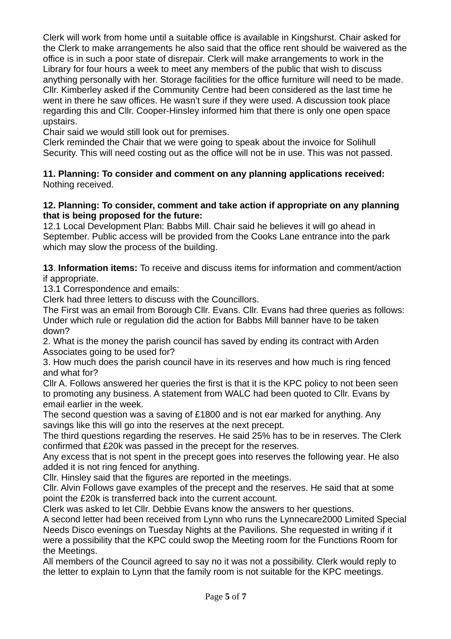Clerk will work from home until a suitable office is available in Kingshurst. Chair asked for the Clerk to make arrangements he also said that the office rent should be waivered as the office is in such a poor state of disrepair. Clerk will make arrangements to work in the Library for four hours a week to meet any members of the public that wish to discuss anything personally with her. Storage facilities for the office furniture will need to be made. Cllr. Kimberley asked if the Community Centre had been considered as the last time he went in there he saw offices. He wasn't sure if they were used. A discussion took place regarding this and Cllr. Cooper-Hinsley informed him that there is only one open space upstairs.

Chair said we would still look out for premises.

Clerk reminded the Chair that we were going to speak about the invoice for Solihull Security. This will need costing out as the office will not be in use. This was not passed.

#### **11. Planning: To consider and comment on any planning applications received:**  Nothing received.

### **12. Planning: To consider, comment and take action if appropriate on any planning that is being proposed for the future:**

12.1 Local Development Plan: Babbs Mill. Chair said he believes it will go ahead in September. Public access will be provided from the Cooks Lane entrance into the park which may slow the process of the building.

**13**. **Information items:** To receive and discuss items for information and comment/action if appropriate.

13.1 Correspondence and emails:

Clerk had three letters to discuss with the Councillors.

The First was an email from Borough Cllr. Evans. Cllr. Evans had three queries as follows: Under which rule or regulation did the action for Babbs Mill banner have to be taken down?

2. What is the money the parish council has saved by ending its contract with Arden Associates going to be used for?

3. How much does the parish council have in its reserves and how much is ring fenced and what for?

Cllr A. Follows answered her queries the first is that it is the KPC policy to not been seen to promoting any business. A statement from WALC had been quoted to Cllr. Evans by email earlier in the week.

The second question was a saving of £1800 and is not ear marked for anything. Any savings like this will go into the reserves at the next precept.

The third questions regarding the reserves. He said 25% has to be in reserves. The Clerk confirmed that £20k was passed in the precept for the reserves.

Any excess that is not spent in the precept goes into reserves the following year. He also added it is not ring fenced for anything.

Cllr. Hinsley said that the figures are reported in the meetings.

Cllr. Alvin Follows gave examples of the precept and the reserves. He said that at some point the £20k is transferred back into the current account.

Clerk was asked to let Cllr. Debbie Evans know the answers to her questions.

A second letter had been received from Lynn who runs the Lynnecare2000 Limited Special Needs Disco evenings on Tuesday Nights at the Pavilions. She requested in writing if it were a possibility that the KPC could swop the Meeting room for the Functions Room for the Meetings.

All members of the Council agreed to say no it was not a possibility. Clerk would reply to the letter to explain to Lynn that the family room is not suitable for the KPC meetings.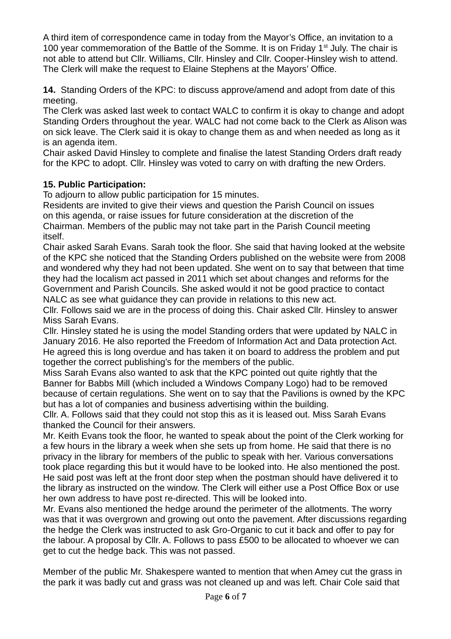A third item of correspondence came in today from the Mayor's Office, an invitation to a 100 year commemoration of the Battle of the Somme. It is on Friday  $1<sup>st</sup>$  July. The chair is not able to attend but Cllr. Williams, Cllr. Hinsley and Cllr. Cooper-Hinsley wish to attend. The Clerk will make the request to Elaine Stephens at the Mayors' Office.

**14.** Standing Orders of the KPC: to discuss approve/amend and adopt from date of this meeting.

The Clerk was asked last week to contact WALC to confirm it is okay to change and adopt Standing Orders throughout the year. WALC had not come back to the Clerk as Alison was on sick leave. The Clerk said it is okay to change them as and when needed as long as it is an agenda item.

Chair asked David Hinsley to complete and finalise the latest Standing Orders draft ready for the KPC to adopt. Cllr. Hinsley was voted to carry on with drafting the new Orders.

# **15. Public Participation:**

To adjourn to allow public participation for 15 minutes.

Residents are invited to give their views and question the Parish Council on issues on this agenda, or raise issues for future consideration at the discretion of the Chairman. Members of the public may not take part in the Parish Council meeting itself.

Chair asked Sarah Evans. Sarah took the floor. She said that having looked at the website of the KPC she noticed that the Standing Orders published on the website were from 2008 and wondered why they had not been updated. She went on to say that between that time they had the localism act passed in 2011 which set about changes and reforms for the Government and Parish Councils. She asked would it not be good practice to contact NALC as see what guidance they can provide in relations to this new act.

Cllr. Follows said we are in the process of doing this. Chair asked Cllr. Hinsley to answer Miss Sarah Evans.

Cllr. Hinsley stated he is using the model Standing orders that were updated by NALC in January 2016. He also reported the Freedom of Information Act and Data protection Act. He agreed this is long overdue and has taken it on board to address the problem and put together the correct publishing's for the members of the public.

Miss Sarah Evans also wanted to ask that the KPC pointed out quite rightly that the Banner for Babbs Mill (which included a Windows Company Logo) had to be removed because of certain regulations. She went on to say that the Pavilions is owned by the KPC but has a lot of companies and business advertising within the building.

Cllr. A. Follows said that they could not stop this as it is leased out. Miss Sarah Evans thanked the Council for their answers.

Mr. Keith Evans took the floor, he wanted to speak about the point of the Clerk working for a few hours in the library a week when she sets up from home. He said that there is no privacy in the library for members of the public to speak with her. Various conversations took place regarding this but it would have to be looked into. He also mentioned the post. He said post was left at the front door step when the postman should have delivered it to the library as instructed on the window. The Clerk will either use a Post Office Box or use her own address to have post re-directed. This will be looked into.

Mr. Evans also mentioned the hedge around the perimeter of the allotments. The worry was that it was overgrown and growing out onto the pavement. After discussions regarding the hedge the Clerk was instructed to ask Gro-Organic to cut it back and offer to pay for the labour. A proposal by Cllr. A. Follows to pass £500 to be allocated to whoever we can get to cut the hedge back. This was not passed.

Member of the public Mr. Shakespere wanted to mention that when Amey cut the grass in the park it was badly cut and grass was not cleaned up and was left. Chair Cole said that